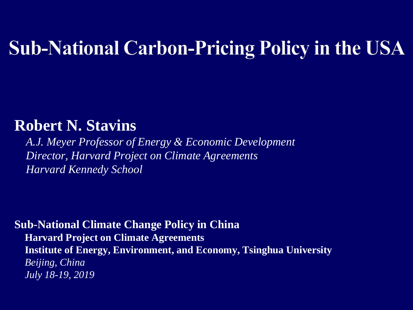## **Sub-National Carbon-Pricing Policy in the USA**

#### **Robert N. Stavins**

*A.J. Meyer Professor of Energy & Economic Development Director, Harvard Project on Climate Agreements Harvard Kennedy School*

#### **Sub-National Climate Change Policy in China**

**Harvard Project on Climate Agreements Institute of Energy, Environment, and Economy, Tsinghua University** *Beijing, China July 18-19, 2019*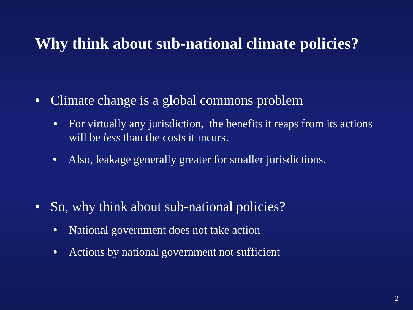#### **Why think about sub-national climate policies?**

- Climate change is a global commons problem
	- For virtually any jurisdiction, the benefits it reaps from its actions will be *less* than the costs it incurs.
	- Also, leakage generally greater for smaller jurisdictions.

- So, why think about sub-national policies?
	- National government does not take action
	- Actions by national government not sufficient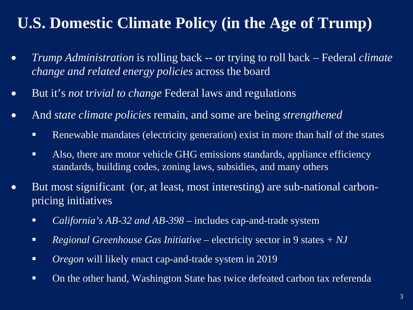### **U.S. Domestic Climate Policy (in the Age of Trump)**

- *Trump Administration* is rolling back -- or trying to roll back Federal *climate change and related energy policies* across the board
- But it's *not* t*rivial to change* Federal laws and regulations
- And *state climate policies* remain, and some are being *strengthened*
	- **Renewable mandates (electricity generation) exist in more than half of the states**
	- Also, there are motor vehicle GHG emissions standards, appliance efficiency standards, building codes, zoning laws, subsidies, and many others
- But most significant (or, at least, most interesting) are sub-national carbonpricing initiatives
	- *California's AB-32 and AB-398*  includes cap-and-trade system
	- *Regional Greenhouse Gas Initiative* electricity sector in 9 states *+ NJ*
	- *Oregon* will likely enact cap-and-trade system in 2019
	- On the other hand, Washington State has twice defeated carbon tax referenda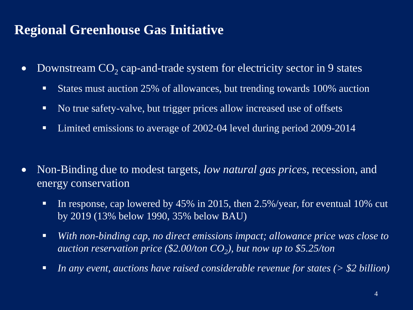#### **Regional Greenhouse Gas Initiative**

- Downstream  $CO<sub>2</sub>$  cap-and-trade system for electricity sector in 9 states
	- States must auction 25% of allowances, but trending towards 100% auction
	- No true safety-valve, but trigger prices allow increased use of offsets
	- Limited emissions to average of 2002-04 level during period 2009-2014
- Non-Binding due to modest targets, *low natural gas prices*, recession, and energy conservation
	- In response, cap lowered by 45% in 2015, then 2.5%/year, for eventual 10% cut by 2019 (13% below 1990, 35% below BAU)
	- *With non-binding cap, no direct emissions impact; allowance price was close to auction reservation price (\$2.00/ton*  $CO<sub>2</sub>$ *), but now up to \$5.25/ton*
	- *In any event, auctions have raised considerable revenue for states (> \$2 billion)*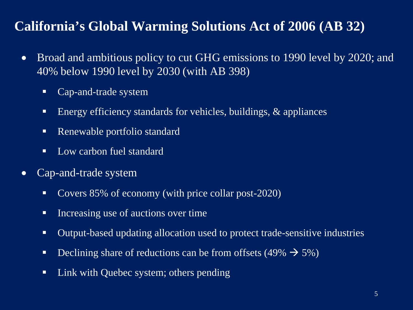#### **California's Global Warming Solutions Act of 2006 (AB 32)**

- Broad and ambitious policy to cut GHG emissions to 1990 level by 2020; and 40% below 1990 level by 2030 (with AB 398)
	- Cap-and-trade system
	- Energy efficiency standards for vehicles, buildings,  $\&$  appliances
	- Renewable portfolio standard
	- Low carbon fuel standard
- Cap-and-trade system
	- Covers 85% of economy (with price collar post-2020)
	- Increasing use of auctions over time
	- Output-based updating allocation used to protect trade-sensitive industries
	- Declining share of reductions can be from offsets (49%  $\rightarrow$  5%)
	- Link with Quebec system; others pending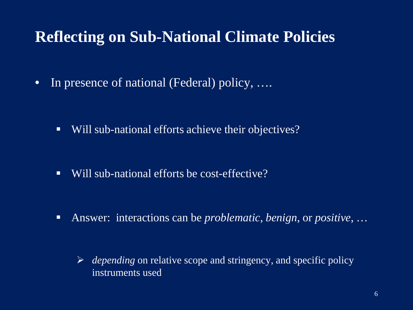### **Reflecting on Sub-National Climate Policies**

• In presence of national (Federal) policy, ....

■ Will sub-national efforts achieve their objectives?

■ Will sub-national efforts be cost-effective?

- Answer: interactions can be *problematic*, *benign*, or *positive*, …
	- *depending* on relative scope and stringency, and specific policy instruments used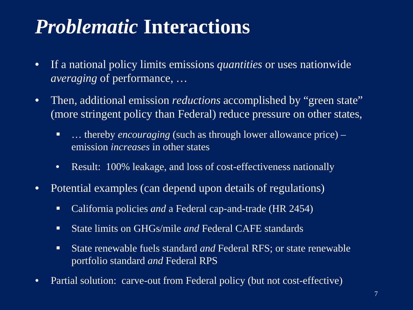## *Problematic* **Interactions**

- If a national policy limits emissions *quantities* or uses nationwide *averaging* of performance, …
- Then, additional emission *reductions* accomplished by "green state" (more stringent policy than Federal) reduce pressure on other states,
	- ... thereby *encouraging* (such as through lower allowance price) emission *increases* in other states
	- Result: 100% leakage, and loss of cost-effectiveness nationally
- Potential examples (can depend upon details of regulations)
	- California policies *and* a Federal cap-and-trade (HR 2454)
	- State limits on GHGs/mile *and* Federal CAFE standards
	- State renewable fuels standard *and* Federal RFS; or state renewable portfolio standard *and* Federal RPS
- Partial solution: carve-out from Federal policy (but not cost-effective)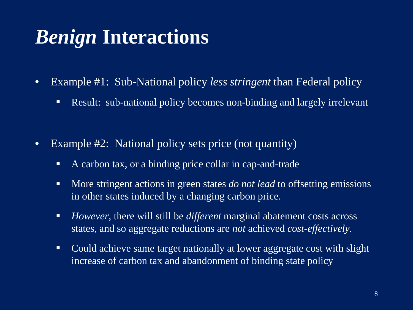## *Benign* **Interactions**

- Example #1: Sub-National policy *less stringent* than Federal policy
	- **Result: sub-national policy becomes non-binding and largely irrelevant**
- Example #2: National policy sets price (not quantity)
	- A carbon tax, or a binding price collar in cap-and-trade
	- **More stringent actions in green states** *do not lead* **to offsetting emissions** in other states induced by a changing carbon price.
	- *However*, there will still be *different* marginal abatement costs across states, and so aggregate reductions are *not* achieved *cost-effectively.*
	- Could achieve same target nationally at lower aggregate cost with slight increase of carbon tax and abandonment of binding state policy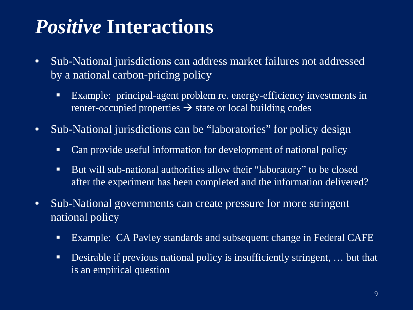## *Positive* **Interactions**

- Sub-National jurisdictions can address market failures not addressed by a national carbon-pricing policy
	- Example: principal-agent problem re. energy-efficiency investments in renter-occupied properties  $\rightarrow$  state or local building codes
- Sub-National jurisdictions can be "laboratories" for policy design
	- Can provide useful information for development of national policy
	- But will sub-national authorities allow their "laboratory" to be closed after the experiment has been completed and the information delivered?
- Sub-National governments can create pressure for more stringent national policy
	- Example: CA Pavley standards and subsequent change in Federal CAFE
	- Desirable if previous national policy is insufficiently stringent, ... but that is an empirical question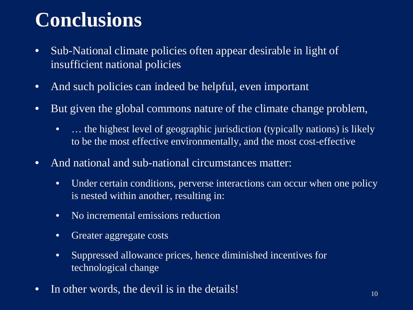# **Conclusions**

- Sub-National climate policies often appear desirable in light of insufficient national policies
- And such policies can indeed be helpful, even important
- But given the global commons nature of the climate change problem,
	- ... the highest level of geographic jurisdiction (typically nations) is likely to be the most effective environmentally, and the most cost-effective
- And national and sub-national circumstances matter:
	- Under certain conditions, perverse interactions can occur when one policy is nested within another, resulting in:
	- No incremental emissions reduction
	- Greater aggregate costs
	- Suppressed allowance prices, hence diminished incentives for technological change
- In other words, the devil is in the details!  $10^{10}$